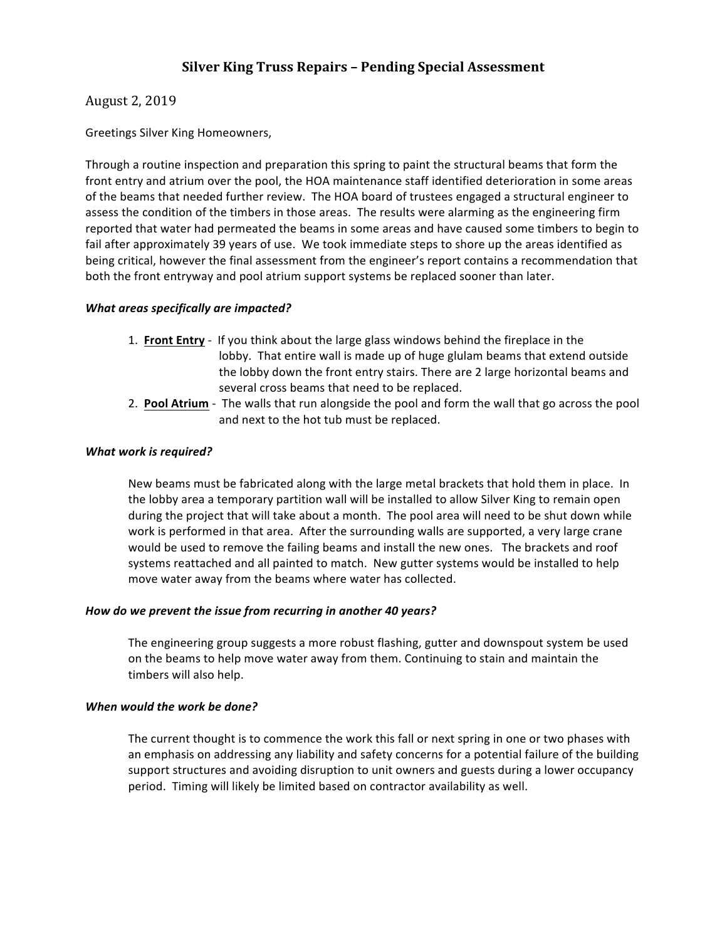# **Silver King Truss Repairs - Pending Special Assessment**

# August 2, 2019

Greetings Silver King Homeowners,

Through a routine inspection and preparation this spring to paint the structural beams that form the front entry and atrium over the pool, the HOA maintenance staff identified deterioration in some areas of the beams that needed further review. The HOA board of trustees engaged a structural engineer to assess the condition of the timbers in those areas. The results were alarming as the engineering firm reported that water had permeated the beams in some areas and have caused some timbers to begin to fail after approximately 39 years of use. We took immediate steps to shore up the areas identified as being critical, however the final assessment from the engineer's report contains a recommendation that both the front entryway and pool atrium support systems be replaced sooner than later.

# *What areas specifically are impacted?*

- 1. **Front Entry** If you think about the large glass windows behind the fireplace in the lobby. That entire wall is made up of huge glulam beams that extend outside the lobby down the front entry stairs. There are 2 large horizontal beams and several cross beams that need to be replaced.
- 2. **Pool Atrium** The walls that run alongside the pool and form the wall that go across the pool and next to the hot tub must be replaced.

## What work is required?

New beams must be fabricated along with the large metal brackets that hold them in place. In the lobby area a temporary partition wall will be installed to allow Silver King to remain open during the project that will take about a month. The pool area will need to be shut down while work is performed in that area. After the surrounding walls are supported, a very large crane would be used to remove the failing beams and install the new ones. The brackets and roof systems reattached and all painted to match. New gutter systems would be installed to help move water away from the beams where water has collected.

#### How do we prevent the issue from recurring in another 40 years?

The engineering group suggests a more robust flashing, gutter and downspout system be used on the beams to help move water away from them. Continuing to stain and maintain the timbers will also help.

#### *When* would the work be done?

The current thought is to commence the work this fall or next spring in one or two phases with an emphasis on addressing any liability and safety concerns for a potential failure of the building support structures and avoiding disruption to unit owners and guests during a lower occupancy period. Timing will likely be limited based on contractor availability as well.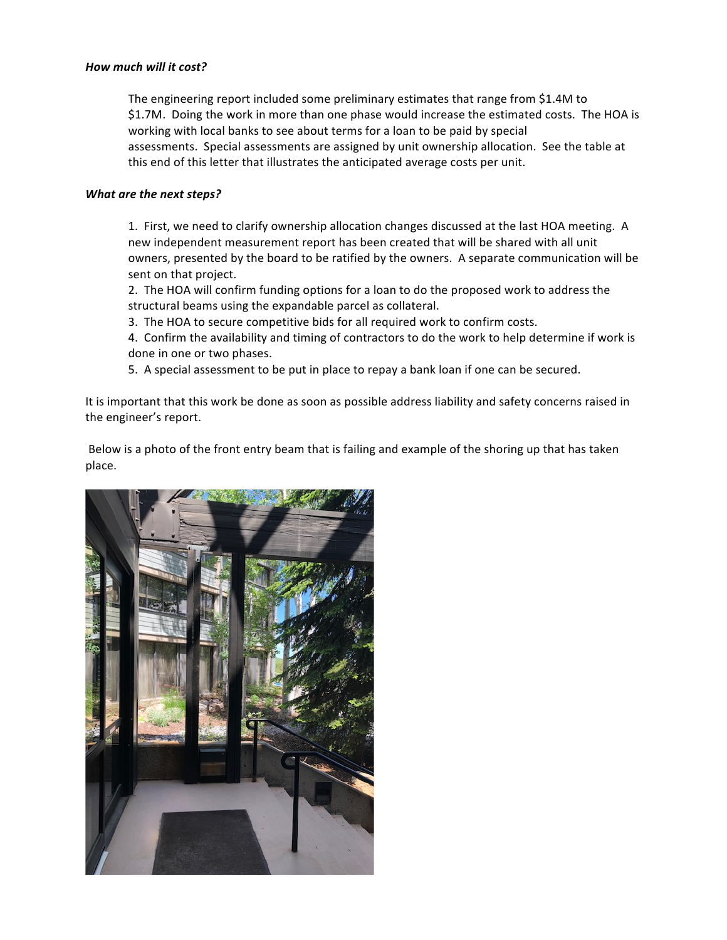#### *How much will it cost?*

The engineering report included some preliminary estimates that range from \$1.4M to \$1.7M. Doing the work in more than one phase would increase the estimated costs. The HOA is working with local banks to see about terms for a loan to be paid by special assessments. Special assessments are assigned by unit ownership allocation. See the table at this end of this letter that illustrates the anticipated average costs per unit.

## **What are the next steps?**

1. First, we need to clarify ownership allocation changes discussed at the last HOA meeting. A new independent measurement report has been created that will be shared with all unit owners, presented by the board to be ratified by the owners. A separate communication will be sent on that project.

2. The HOA will confirm funding options for a loan to do the proposed work to address the structural beams using the expandable parcel as collateral.

3. The HOA to secure competitive bids for all required work to confirm costs.

4. Confirm the availability and timing of contractors to do the work to help determine if work is done in one or two phases.

5. A special assessment to be put in place to repay a bank loan if one can be secured.

It is important that this work be done as soon as possible address liability and safety concerns raised in the engineer's report.

Below is a photo of the front entry beam that is failing and example of the shoring up that has taken place.